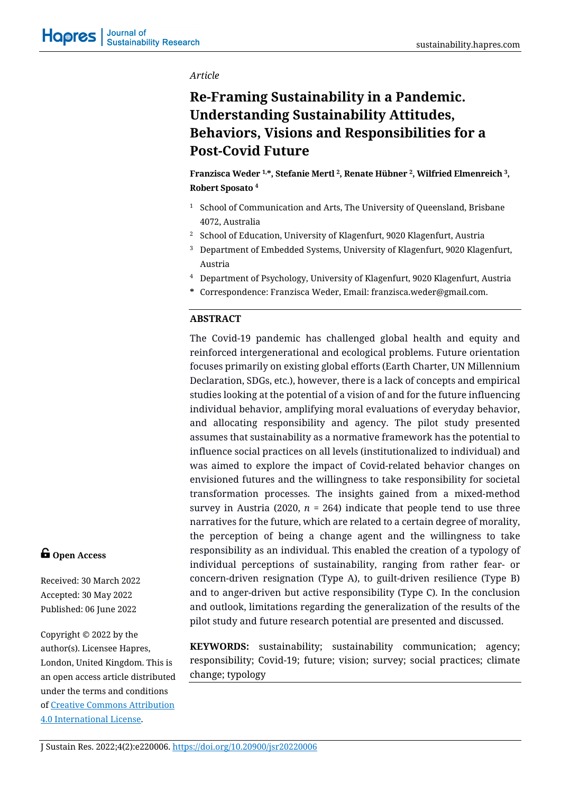#### *Article*

# **Re-Framing Sustainability in a Pandemic. Understanding Sustainability Attitudes, Behaviors, Visions and Responsibilities for a Post-Covid Future**

**Franzisca Weder 1,\*, Stefanie Mertl 2, Renate Hübner 2, Wilfried Elmenreich 3, Robert Sposato <sup>4</sup>**

- <sup>1</sup> School of Communication and Arts, The University of Queensland, Brisbane 4072, Australia
- <sup>2</sup> School of Education, University of Klagenfurt, 9020 Klagenfurt, Austria
- <sup>3</sup> Department of Embedded Systems, University of Klagenfurt, 9020 Klagenfurt, Austria
- <sup>4</sup> Department of Psychology, University of Klagenfurt, 9020 Klagenfurt, Austria
- **\*** Correspondence: Franzisca Weder, Email: franzisca.weder@gmail.com.

#### **ABSTRACT**

The Covid-19 pandemic has challenged global health and equity and reinforced intergenerational and ecological problems. Future orientation focuses primarily on existing global efforts (Earth Charter, UN Millennium Declaration, SDGs, etc.), however, there is a lack of concepts and empirical studies looking at the potential of a vision of and for the future influencing individual behavior, amplifying moral evaluations of everyday behavior, and allocating responsibility and agency. The pilot study presented assumes that sustainability as a normative framework has the potential to influence social practices on all levels (institutionalized to individual) and was aimed to explore the impact of Covid-related behavior changes on envisioned futures and the willingness to take responsibility for societal transformation processes. The insights gained from a mixed-method survey in Austria (2020,  $n = 264$ ) indicate that people tend to use three narratives for the future, which are related to a certain degree of morality, the perception of being a change agent and the willingness to take responsibility as an individual. This enabled the creation of a typology of individual perceptions of sustainability, ranging from rather fear- or concern-driven resignation (Type A), to guilt-driven resilience (Type B) and to anger-driven but active responsibility (Type C). In the conclusion and outlook, limitations regarding the generalization of the results of the pilot study and future research potential are presented and discussed.

**KEYWORDS:** sustainability; sustainability communication; agency; responsibility; Covid-19; future; vision; survey; social practices; climate change; typology

# **G** Open Access

Received: 30 March 2022 Accepted: 30 May 2022 Published: 06 June 2022

Copyright © 2022 by the author(s). Licensee Hapres, London, United Kingdom. This is an open access article distributed under the terms and conditions of [Creative Commons Attribution](https://creativecommons.org/licenses/by/4.0/)  [4.0 International License.](https://creativecommons.org/licenses/by/4.0/)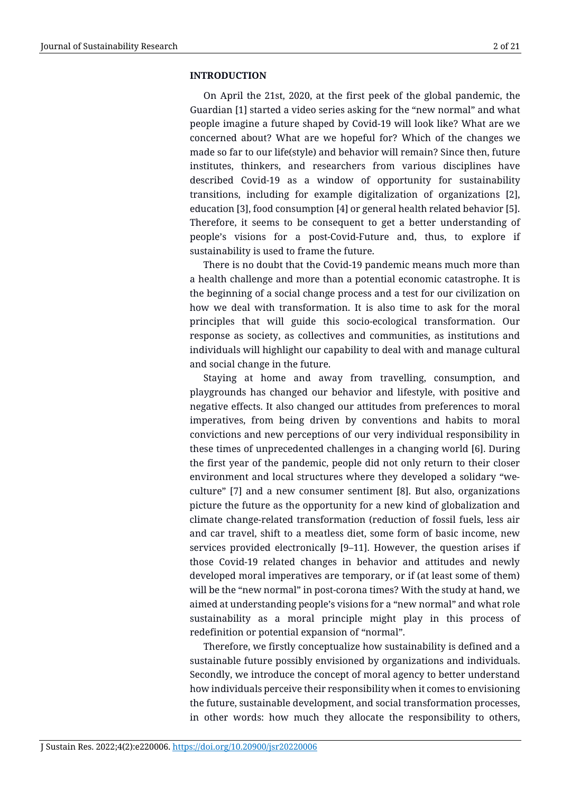#### **INTRODUCTION**

On April the 21st, 2020, at the first peek of the global pandemic, the Guardian [1] started a video series asking for the "new normal" and what people imagine a future shaped by Covid-19 will look like? What are we concerned about? What are we hopeful for? Which of the changes we made so far to our life(style) and behavior will remain? Since then, future institutes, thinkers, and researchers from various disciplines have described Covid-19 as a window of opportunity for sustainability transitions, including for example digitalization of organizations [2], education [3], food consumption [4] or general health related behavior [5]. Therefore, it seems to be consequent to get a better understanding of people's visions for a post-Covid-Future and, thus, to explore if sustainability is used to frame the future.

There is no doubt that the Covid-19 pandemic means much more than a health challenge and more than a potential economic catastrophe. It is the beginning of a social change process and a test for our civilization on how we deal with transformation. It is also time to ask for the moral principles that will guide this socio-ecological transformation. Our response as society, as collectives and communities, as institutions and individuals will highlight our capability to deal with and manage cultural and social change in the future.

Staying at home and away from travelling, consumption, and playgrounds has changed our behavior and lifestyle, with positive and negative effects. It also changed our attitudes from preferences to moral imperatives, from being driven by conventions and habits to moral convictions and new perceptions of our very individual responsibility in these times of unprecedented challenges in a changing world [6]. During the first year of the pandemic, people did not only return to their closer environment and local structures where they developed a solidary "weculture" [7] and a new consumer sentiment [8]. But also, organizations picture the future as the opportunity for a new kind of globalization and climate change-related transformation (reduction of fossil fuels, less air and car travel, shift to a meatless diet, some form of basic income, new services provided electronically [9–11]. However, the question arises if those Covid-19 related changes in behavior and attitudes and newly developed moral imperatives are temporary, or if (at least some of them) will be the "new normal" in post-corona times? With the study at hand, we aimed at understanding people's visions for a "new normal" and what role sustainability as a moral principle might play in this process of redefinition or potential expansion of "normal".

Therefore, we firstly conceptualize how sustainability is defined and a sustainable future possibly envisioned by organizations and individuals. Secondly, we introduce the concept of moral agency to better understand how individuals perceive their responsibility when it comes to envisioning the future, sustainable development, and social transformation processes, in other words: how much they allocate the responsibility to others,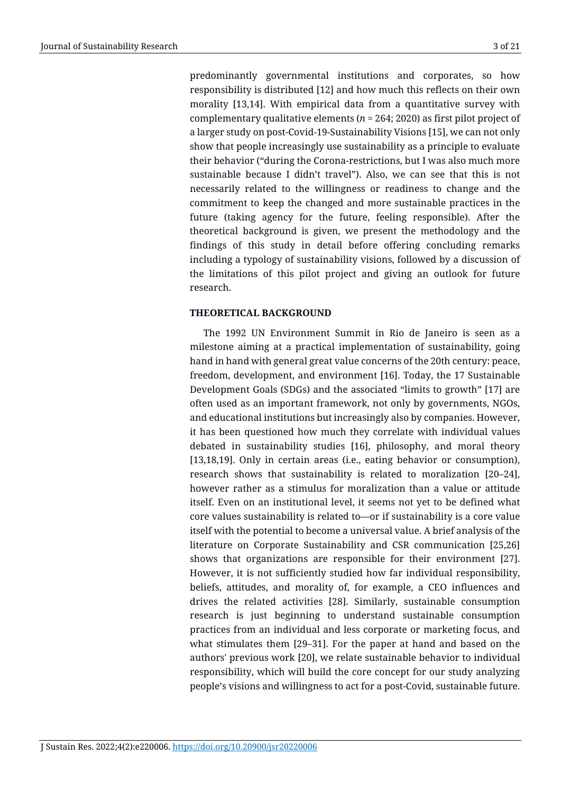predominantly governmental institutions and corporates, so how responsibility is distributed [12] and how much this reflects on their own morality [13,14]. With empirical data from a quantitative survey with complementary qualitative elements (*n* = 264; 2020) as first pilot project of a larger study on post-Covid-19-Sustainability Visions [15], we can not only show that people increasingly use sustainability as a principle to evaluate their behavior ("during the Corona-restrictions, but I was also much more sustainable because I didn't travel"). Also, we can see that this is not necessarily related to the willingness or readiness to change and the commitment to keep the changed and more sustainable practices in the future (taking agency for the future, feeling responsible). After the theoretical background is given, we present the methodology and the findings of this study in detail before offering concluding remarks including a typology of sustainability visions, followed by a discussion of the limitations of this pilot project and giving an outlook for future research.

## **THEORETICAL BACKGROUND**

The 1992 UN Environment Summit in Rio de Janeiro is seen as a milestone aiming at a practical implementation of sustainability, going hand in hand with general great value concerns of the 20th century: peace, freedom, development, and environment [16]. Today, the 17 Sustainable Development Goals (SDGs) and the associated "limits to growth" [17] are often used as an important framework, not only by governments, NGOs, and educational institutions but increasingly also by companies. However, it has been questioned how much they correlate with individual values debated in sustainability studies [16], philosophy, and moral theory [13,18,19]. Only in certain areas (i.e., eating behavior or consumption), research shows that sustainability is related to moralization [20–24], however rather as a stimulus for moralization than a value or attitude itself. Even on an institutional level, it seems not yet to be defined what core values sustainability is related to—or if sustainability is a core value itself with the potential to become a universal value. A brief analysis of the literature on Corporate Sustainability and CSR communication [25,26] shows that organizations are responsible for their environment [27]. However, it is not sufficiently studied how far individual responsibility, beliefs, attitudes, and morality of, for example, a CEO influences and drives the related activities [28]. Similarly, sustainable consumption research is just beginning to understand sustainable consumption practices from an individual and less corporate or marketing focus, and what stimulates them [29–31]. For the paper at hand and based on the authors' previous work [20], we relate sustainable behavior to individual responsibility, which will build the core concept for our study analyzing people's visions and willingness to act for a post-Covid, sustainable future.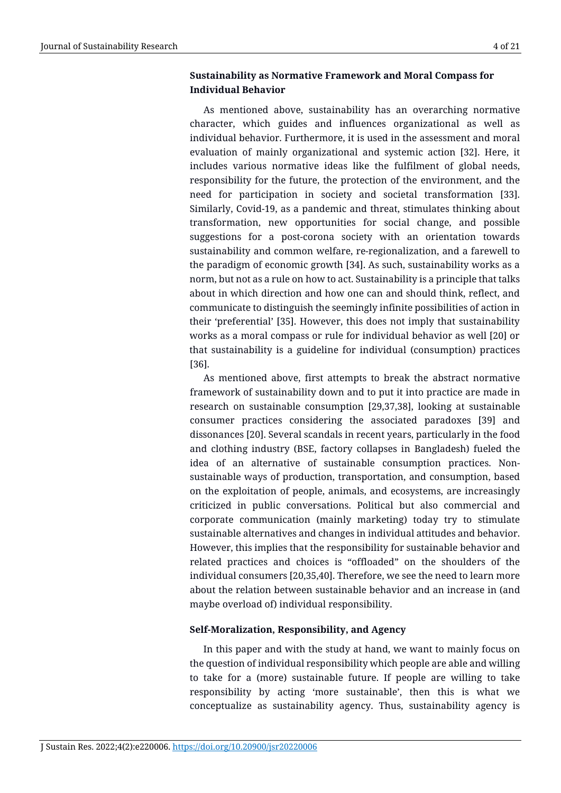## **Sustainability as Normative Framework and Moral Compass for Individual Behavior**

As mentioned above, sustainability has an overarching normative character, which guides and influences organizational as well as individual behavior. Furthermore, it is used in the assessment and moral evaluation of mainly organizational and systemic action [32]. Here, it includes various normative ideas like the fulfilment of global needs, responsibility for the future, the protection of the environment, and the need for participation in society and societal transformation [33]. Similarly, Covid-19, as a pandemic and threat, stimulates thinking about transformation, new opportunities for social change, and possible suggestions for a post-corona society with an orientation towards sustainability and common welfare, re-regionalization, and a farewell to the paradigm of economic growth [34]. As such, sustainability works as a norm, but not as a rule on how to act. Sustainability is a principle that talks about in which direction and how one can and should think, reflect, and communicate to distinguish the seemingly infinite possibilities of action in their 'preferential' [35]. However, this does not imply that sustainability works as a moral compass or rule for individual behavior as well [20] or that sustainability is a guideline for individual (consumption) practices [36].

As mentioned above, first attempts to break the abstract normative framework of sustainability down and to put it into practice are made in research on sustainable consumption [29,37,38], looking at sustainable consumer practices considering the associated paradoxes [39] and dissonances [20]. Several scandals in recent years, particularly in the food and clothing industry (BSE, factory collapses in Bangladesh) fueled the idea of an alternative of sustainable consumption practices. Nonsustainable ways of production, transportation, and consumption, based on the exploitation of people, animals, and ecosystems, are increasingly criticized in public conversations. Political but also commercial and corporate communication (mainly marketing) today try to stimulate sustainable alternatives and changes in individual attitudes and behavior. However, this implies that the responsibility for sustainable behavior and related practices and choices is "offloaded" on the shoulders of the individual consumers [20,35,40]. Therefore, we see the need to learn more about the relation between sustainable behavior and an increase in (and maybe overload of) individual responsibility.

## **Self-Moralization, Responsibility, and Agency**

In this paper and with the study at hand, we want to mainly focus on the question of individual responsibility which people are able and willing to take for a (more) sustainable future. If people are willing to take responsibility by acting 'more sustainable', then this is what we conceptualize as sustainability agency. Thus, sustainability agency is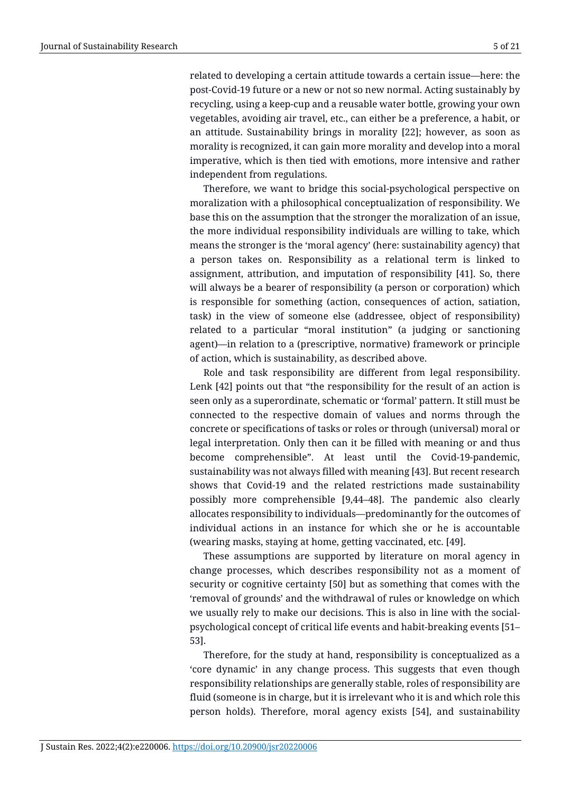related to developing a certain attitude towards a certain issue—here: the post-Covid-19 future or a new or not so new normal. Acting sustainably by recycling, using a keep-cup and a reusable water bottle, growing your own vegetables, avoiding air travel, etc., can either be a preference, a habit, or an attitude. Sustainability brings in morality [22]; however, as soon as morality is recognized, it can gain more morality and develop into a moral imperative, which is then tied with emotions, more intensive and rather independent from regulations.

Therefore, we want to bridge this social-psychological perspective on moralization with a philosophical conceptualization of responsibility. We base this on the assumption that the stronger the moralization of an issue, the more individual responsibility individuals are willing to take, which means the stronger is the 'moral agency' (here: sustainability agency) that a person takes on. Responsibility as a relational term is linked to assignment, attribution, and imputation of responsibility [41]. So, there will always be a bearer of responsibility (a person or corporation) which is responsible for something (action, consequences of action, satiation, task) in the view of someone else (addressee, object of responsibility) related to a particular "moral institution" (a judging or sanctioning agent)—in relation to a (prescriptive, normative) framework or principle of action, which is sustainability, as described above.

Role and task responsibility are different from legal responsibility. Lenk [42] points out that "the responsibility for the result of an action is seen only as a superordinate, schematic or 'formal' pattern. It still must be connected to the respective domain of values and norms through the concrete or specifications of tasks or roles or through (universal) moral or legal interpretation. Only then can it be filled with meaning or and thus become comprehensible". At least until the Covid-19-pandemic, sustainability was not always filled with meaning [43]. But recent research shows that Covid-19 and the related restrictions made sustainability possibly more comprehensible [9,44–48]. The pandemic also clearly allocates responsibility to individuals—predominantly for the outcomes of individual actions in an instance for which she or he is accountable (wearing masks, staying at home, getting vaccinated, etc. [49].

These assumptions are supported by literature on moral agency in change processes, which describes responsibility not as a moment of security or cognitive certainty [50] but as something that comes with the 'removal of grounds' and the withdrawal of rules or knowledge on which we usually rely to make our decisions. This is also in line with the socialpsychological concept of critical life events and habit-breaking events [51– 53].

Therefore, for the study at hand, responsibility is conceptualized as a 'core dynamic' in any change process. This suggests that even though responsibility relationships are generally stable, roles of responsibility are fluid (someone is in charge, but it is irrelevant who it is and which role this person holds). Therefore, moral agency exists [54], and sustainability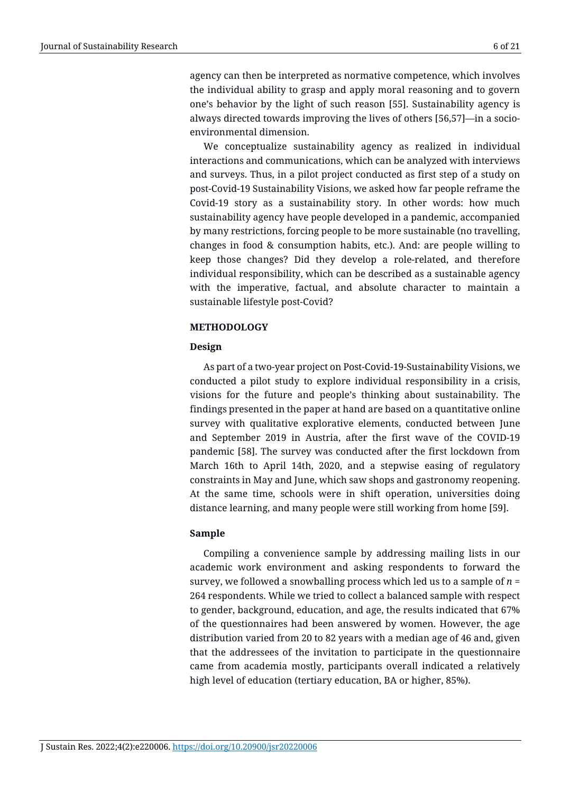agency can then be interpreted as normative competence, which involves the individual ability to grasp and apply moral reasoning and to govern one's behavior by the light of such reason [55]. Sustainability agency is always directed towards improving the lives of others [56,57]—in a socioenvironmental dimension.

We conceptualize sustainability agency as realized in individual interactions and communications, which can be analyzed with interviews and surveys. Thus, in a pilot project conducted as first step of a study on post-Covid-19 Sustainability Visions, we asked how far people reframe the Covid-19 story as a sustainability story. In other words: how much sustainability agency have people developed in a pandemic, accompanied by many restrictions, forcing people to be more sustainable (no travelling, changes in food & consumption habits, etc.). And: are people willing to keep those changes? Did they develop a role-related, and therefore individual responsibility, which can be described as a sustainable agency with the imperative, factual, and absolute character to maintain a sustainable lifestyle post-Covid?

## **METHODOLOGY**

## **Design**

As part of a two-year project on Post-Covid-19-Sustainability Visions, we conducted a pilot study to explore individual responsibility in a crisis, visions for the future and people's thinking about sustainability. The findings presented in the paper at hand are based on a quantitative online survey with qualitative explorative elements, conducted between June and September 2019 in Austria, after the first wave of the COVID-19 pandemic [58]. The survey was conducted after the first lockdown from March 16th to April 14th, 2020, and a stepwise easing of regulatory constraints in May and June, which saw shops and gastronomy reopening. At the same time, schools were in shift operation, universities doing distance learning, and many people were still working from home [59].

## **Sample**

Compiling a convenience sample by addressing mailing lists in our academic work environment and asking respondents to forward the survey, we followed a snowballing process which led us to a sample of *n* = 264 respondents. While we tried to collect a balanced sample with respect to gender, background, education, and age, the results indicated that 67% of the questionnaires had been answered by women. However, the age distribution varied from 20 to 82 years with a median age of 46 and, given that the addressees of the invitation to participate in the questionnaire came from academia mostly, participants overall indicated a relatively high level of education (tertiary education, BA or higher, 85%).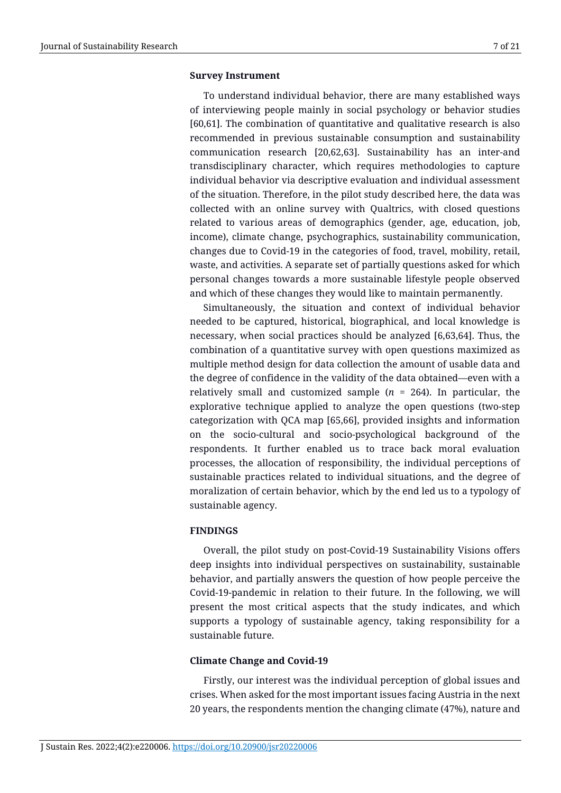#### **Survey Instrument**

To understand individual behavior, there are many established ways of interviewing people mainly in social psychology or behavior studies [60,61]. The combination of quantitative and qualitative research is also recommended in previous sustainable consumption and sustainability communication research [20,62,63]. Sustainability has an inter-and transdisciplinary character, which requires methodologies to capture individual behavior via descriptive evaluation and individual assessment of the situation. Therefore, in the pilot study described here, the data was collected with an online survey with Qualtrics, with closed questions related to various areas of demographics (gender, age, education, job, income), climate change, psychographics, sustainability communication, changes due to Covid-19 in the categories of food, travel, mobility, retail, waste, and activities. A separate set of partially questions asked for which personal changes towards a more sustainable lifestyle people observed and which of these changes they would like to maintain permanently.

Simultaneously, the situation and context of individual behavior needed to be captured, historical, biographical, and local knowledge is necessary, when social practices should be analyzed [6,63,64]. Thus, the combination of a quantitative survey with open questions maximized as multiple method design for data collection the amount of usable data and the degree of confidence in the validity of the data obtained—even with a relatively small and customized sample  $(n = 264)$ . In particular, the explorative technique applied to analyze the open questions (two-step categorization with QCA map [65,66], provided insights and information on the socio-cultural and socio-psychological background of the respondents. It further enabled us to trace back moral evaluation processes, the allocation of responsibility, the individual perceptions of sustainable practices related to individual situations, and the degree of moralization of certain behavior, which by the end led us to a typology of sustainable agency.

#### **FINDINGS**

Overall, the pilot study on post-Covid-19 Sustainability Visions offers deep insights into individual perspectives on sustainability, sustainable behavior, and partially answers the question of how people perceive the Covid-19-pandemic in relation to their future. In the following, we will present the most critical aspects that the study indicates, and which supports a typology of sustainable agency, taking responsibility for a sustainable future.

#### **Climate Change and Covid-19**

Firstly, our interest was the individual perception of global issues and crises. When asked for the most important issues facing Austria in the next 20 years, the respondents mention the changing climate (47%), nature and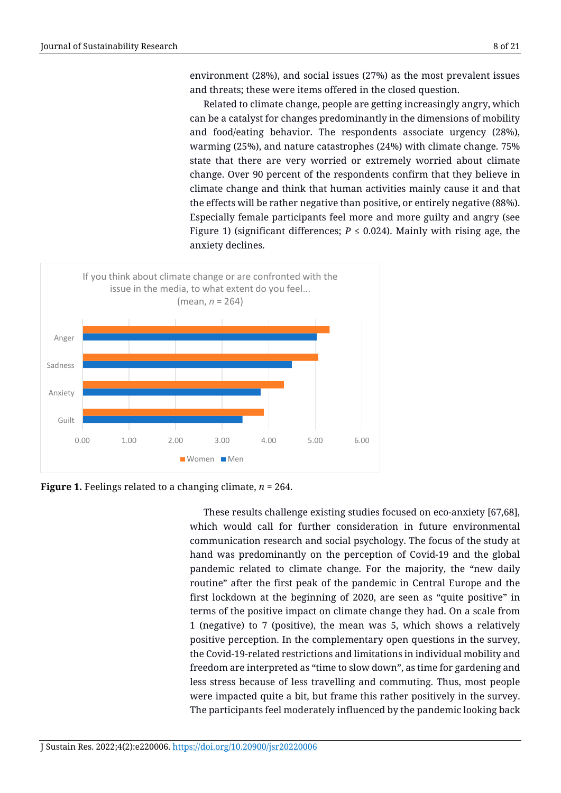environment (28%), and social issues (27%) as the most prevalent issues and threats; these were items offered in the closed question.

Related to climate change, people are getting increasingly angry, which can be a catalyst for changes predominantly in the dimensions of mobility and food/eating behavior. The respondents associate urgency (28%), warming (25%), and nature catastrophes (24%) with climate change. 75% state that there are very worried or extremely worried about climate change. Over 90 percent of the respondents confirm that they believe in climate change and think that human activities mainly cause it and that the effects will be rather negative than positive, or entirely negative (88%). Especially female participants feel more and more guilty and angry (see Figure 1) (significant differences;  $P \le 0.024$ ). Mainly with rising age, the anxiety declines.



**Figure 1.** Feelings related to a changing climate, *n* = 264.

These results challenge existing studies focused on eco-anxiety [67,68], which would call for further consideration in future environmental communication research and social psychology. The focus of the study at hand was predominantly on the perception of Covid-19 and the global pandemic related to climate change. For the majority, the "new daily routine" after the first peak of the pandemic in Central Europe and the first lockdown at the beginning of 2020, are seen as "quite positive" in terms of the positive impact on climate change they had. On a scale from 1 (negative) to 7 (positive), the mean was 5, which shows a relatively positive perception. In the complementary open questions in the survey, the Covid-19-related restrictions and limitations in individual mobility and freedom are interpreted as "time to slow down", as time for gardening and less stress because of less travelling and commuting. Thus, most people were impacted quite a bit, but frame this rather positively in the survey. The participants feel moderately influenced by the pandemic looking back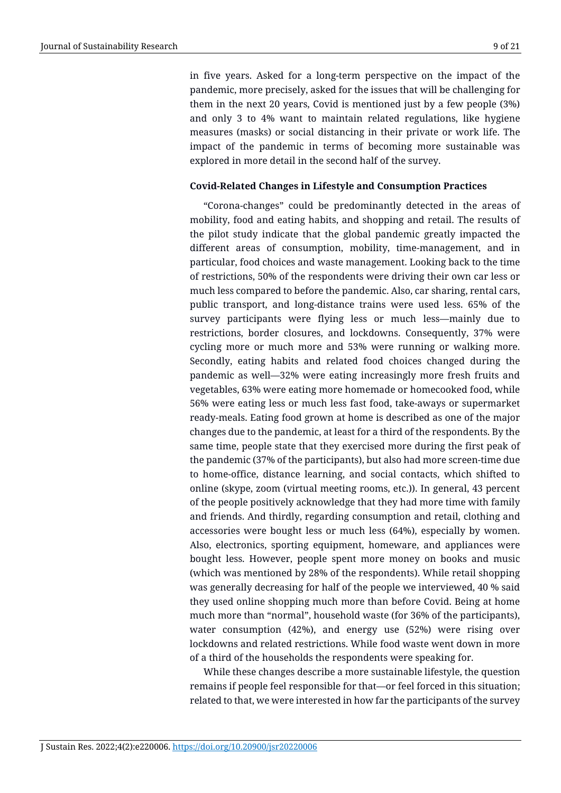in five years. Asked for a long-term perspective on the impact of the pandemic, more precisely, asked for the issues that will be challenging for them in the next 20 years, Covid is mentioned just by a few people (3%) and only 3 to 4% want to maintain related regulations, like hygiene measures (masks) or social distancing in their private or work life. The impact of the pandemic in terms of becoming more sustainable was explored in more detail in the second half of the survey.

#### **Covid-Related Changes in Lifestyle and Consumption Practices**

"Corona-changes" could be predominantly detected in the areas of mobility, food and eating habits, and shopping and retail. The results of the pilot study indicate that the global pandemic greatly impacted the different areas of consumption, mobility, time-management, and in particular, food choices and waste management. Looking back to the time of restrictions, 50% of the respondents were driving their own car less or much less compared to before the pandemic. Also, car sharing, rental cars, public transport, and long-distance trains were used less. 65% of the survey participants were flying less or much less—mainly due to restrictions, border closures, and lockdowns. Consequently, 37% were cycling more or much more and 53% were running or walking more. Secondly, eating habits and related food choices changed during the pandemic as well—32% were eating increasingly more fresh fruits and vegetables, 63% were eating more homemade or homecooked food, while 56% were eating less or much less fast food, take-aways or supermarket ready-meals. Eating food grown at home is described as one of the major changes due to the pandemic, at least for a third of the respondents. By the same time, people state that they exercised more during the first peak of the pandemic (37% of the participants), but also had more screen-time due to home-office, distance learning, and social contacts, which shifted to online (skype, zoom (virtual meeting rooms, etc.)). In general, 43 percent of the people positively acknowledge that they had more time with family and friends. And thirdly, regarding consumption and retail, clothing and accessories were bought less or much less (64%), especially by women. Also, electronics, sporting equipment, homeware, and appliances were bought less. However, people spent more money on books and music (which was mentioned by 28% of the respondents). While retail shopping was generally decreasing for half of the people we interviewed, 40 % said they used online shopping much more than before Covid. Being at home much more than "normal", household waste (for 36% of the participants), water consumption (42%), and energy use (52%) were rising over lockdowns and related restrictions. While food waste went down in more of a third of the households the respondents were speaking for.

While these changes describe a more sustainable lifestyle, the question remains if people feel responsible for that—or feel forced in this situation; related to that, we were interested in how far the participants of the survey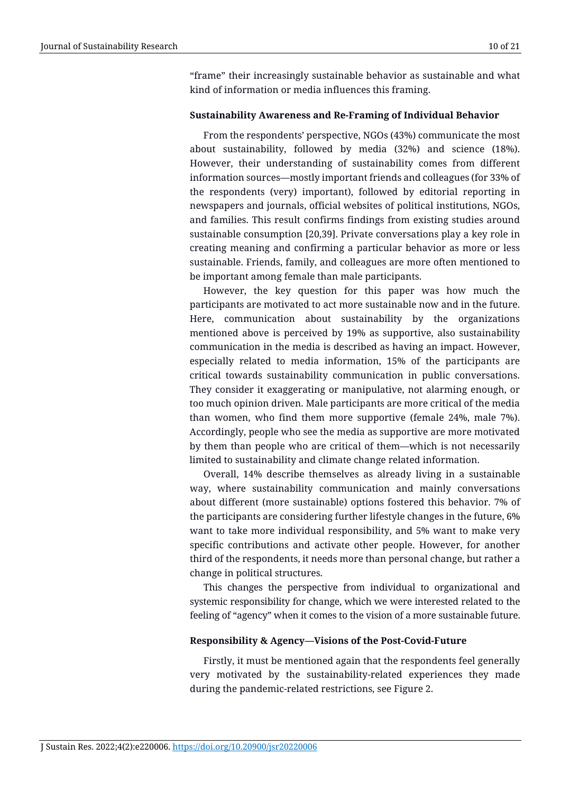"frame" their increasingly sustainable behavior as sustainable and what kind of information or media influences this framing.

#### **Sustainability Awareness and Re-Framing of Individual Behavior**

From the respondents' perspective, NGOs (43%) communicate the most about sustainability, followed by media (32%) and science (18%). However, their understanding of sustainability comes from different information sources—mostly important friends and colleagues (for 33% of the respondents (very) important), followed by editorial reporting in newspapers and journals, official websites of political institutions, NGOs, and families. This result confirms findings from existing studies around sustainable consumption [20,39]. Private conversations play a key role in creating meaning and confirming a particular behavior as more or less sustainable. Friends, family, and colleagues are more often mentioned to be important among female than male participants.

However, the key question for this paper was how much the participants are motivated to act more sustainable now and in the future. Here, communication about sustainability by the organizations mentioned above is perceived by 19% as supportive, also sustainability communication in the media is described as having an impact. However, especially related to media information, 15% of the participants are critical towards sustainability communication in public conversations. They consider it exaggerating or manipulative, not alarming enough, or too much opinion driven. Male participants are more critical of the media than women, who find them more supportive (female 24%, male 7%). Accordingly, people who see the media as supportive are more motivated by them than people who are critical of them—which is not necessarily limited to sustainability and climate change related information.

Overall, 14% describe themselves as already living in a sustainable way, where sustainability communication and mainly conversations about different (more sustainable) options fostered this behavior. 7% of the participants are considering further lifestyle changes in the future, 6% want to take more individual responsibility, and 5% want to make very specific contributions and activate other people. However, for another third of the respondents, it needs more than personal change, but rather a change in political structures.

This changes the perspective from individual to organizational and systemic responsibility for change, which we were interested related to the feeling of "agency" when it comes to the vision of a more sustainable future.

#### **Responsibility & Agency—Visions of the Post-Covid-Future**

Firstly, it must be mentioned again that the respondents feel generally very motivated by the sustainability-related experiences they made during the pandemic-related restrictions, see Figure 2.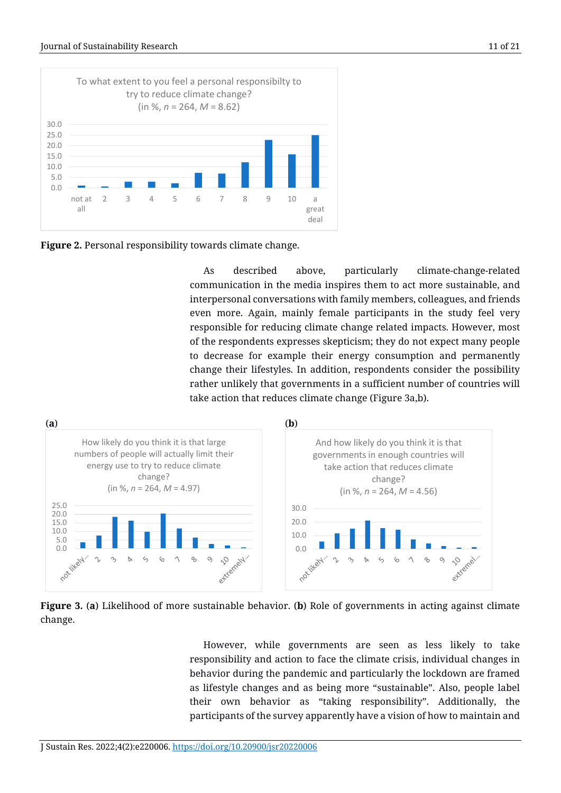

**Figure 2.** Personal responsibility towards climate change.

As described above, particularly climate-change-related communication in the media inspires them to act more sustainable, and interpersonal conversations with family members, colleagues, and friends even more. Again, mainly female participants in the study feel very responsible for reducing climate change related impacts. However, most of the respondents expresses skepticism; they do not expect many people to decrease for example their energy consumption and permanently change their lifestyles. In addition, respondents consider the possibility rather unlikely that governments in a sufficient number of countries will take action that reduces climate change (Figure 3a,b).





However, while governments are seen as less likely to take responsibility and action to face the climate crisis, individual changes in behavior during the pandemic and particularly the lockdown are framed as lifestyle changes and as being more "sustainable". Also, people label their own behavior as "taking responsibility". Additionally, the participants of the survey apparently have a vision of how to maintain and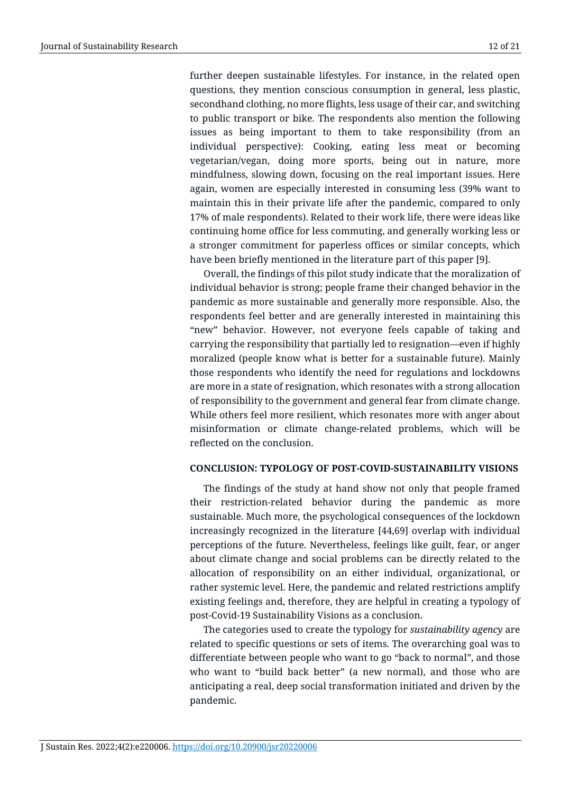further deepen sustainable lifestyles. For instance, in the related open questions, they mention conscious consumption in general, less plastic, secondhand clothing, no more flights, less usage of their car, and switching to public transport or bike. The respondents also mention the following issues as being important to them to take responsibility (from an individual perspective): Cooking, eating less meat or becoming vegetarian/vegan, doing more sports, being out in nature, more mindfulness, slowing down, focusing on the real important issues. Here again, women are especially interested in consuming less (39% want to maintain this in their private life after the pandemic, compared to only 17% of male respondents). Related to their work life, there were ideas like continuing home office for less commuting, and generally working less or a stronger commitment for paperless offices or similar concepts, which have been briefly mentioned in the literature part of this paper [9].

Overall, the findings of this pilot study indicate that the moralization of individual behavior is strong; people frame their changed behavior in the pandemic as more sustainable and generally more responsible. Also, the respondents feel better and are generally interested in maintaining this "new" behavior. However, not everyone feels capable of taking and carrying the responsibility that partially led to resignation—even if highly moralized (people know what is better for a sustainable future). Mainly those respondents who identify the need for regulations and lockdowns are more in a state of resignation, which resonates with a strong allocation of responsibility to the government and general fear from climate change. While others feel more resilient, which resonates more with anger about misinformation or climate change-related problems, which will be reflected on the conclusion.

## **CONCLUSION: TYPOLOGY OF POST-COVID-SUSTAINABILITY VISIONS**

The findings of the study at hand show not only that people framed their restriction-related behavior during the pandemic as more sustainable. Much more, the psychological consequences of the lockdown increasingly recognized in the literature [44,69] overlap with individual perceptions of the future. Nevertheless, feelings like guilt, fear, or anger about climate change and social problems can be directly related to the allocation of responsibility on an either individual, organizational, or rather systemic level. Here, the pandemic and related restrictions amplify existing feelings and, therefore, they are helpful in creating a typology of post-Covid-19 Sustainability Visions as a conclusion.

The categories used to create the typology for *sustainability agency* are related to specific questions or sets of items. The overarching goal was to differentiate between people who want to go "back to normal", and those who want to "build back better" (a new normal), and those who are anticipating a real, deep social transformation initiated and driven by the pandemic.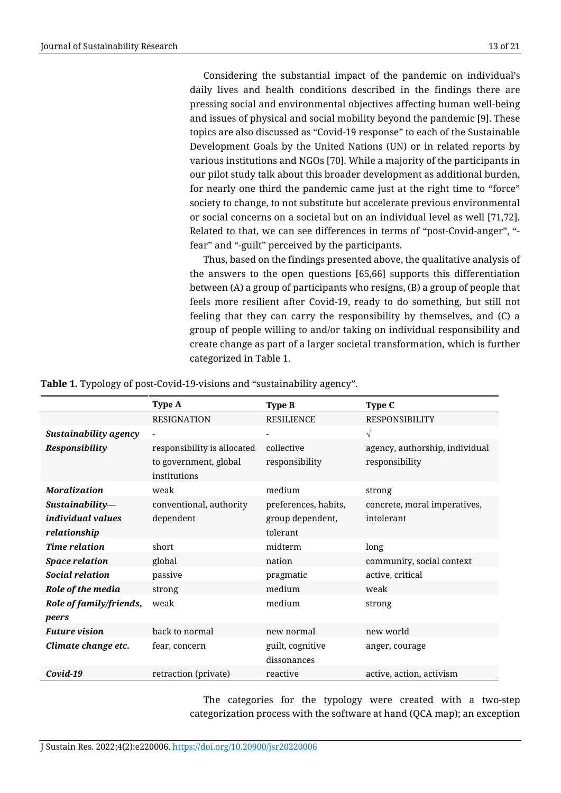Considering the substantial impact of the pandemic on individual's daily lives and health conditions described in the findings there are pressing social and environmental objectives affecting human well-being and issues of physical and social mobility beyond the pandemic [9]. These topics are also discussed as "Covid-19 response" to each of the Sustainable Development Goals by the United Nations (UN) or in related reports by various institutions and NGOs [70]. While a majority of the participants in our pilot study talk about this broader development as additional burden, for nearly one third the pandemic came just at the right time to "force" society to change, to not substitute but accelerate previous environmental or social concerns on a societal but on an individual level as well [71,72]. Related to that, we can see differences in terms of "post-Covid-anger", " fear" and "-guilt" perceived by the participants.

Thus, based on the findings presented above, the qualitative analysis of the answers to the open questions [65,66] supports this differentiation between (A) a group of participants who resigns, (B) a group of people that feels more resilient after Covid-19, ready to do something, but still not feeling that they can carry the responsibility by themselves, and (C) a group of people willing to and/or taking on individual responsibility and create change as part of a larger societal transformation, which is further categorized in Table 1.

|                                  | Type A                                                               | <b>Type B</b>                   | Type C                                           |
|----------------------------------|----------------------------------------------------------------------|---------------------------------|--------------------------------------------------|
|                                  | <b>RESIGNATION</b>                                                   | <b>RESILIENCE</b>               | <b>RESPONSIBILITY</b>                            |
| Sustainability agency            |                                                                      |                                 | $\sqrt{}$                                        |
| Responsibility                   | responsibility is allocated<br>to government, global<br>institutions | collective<br>responsibility    | agency, authorship, individual<br>responsibility |
| <b>Moralization</b>              | weak                                                                 | medium                          | strong                                           |
| Sustainability-                  | conventional, authority                                              | preferences, habits,            | concrete, moral imperatives,                     |
| individual values                | dependent                                                            | group dependent,                | intolerant                                       |
| relationship                     |                                                                      | tolerant                        |                                                  |
| <b>Time relation</b>             | short                                                                | midterm                         | long                                             |
| <b>Space relation</b>            | global                                                               | nation                          | community, social context                        |
| <b>Social relation</b>           | passive                                                              | pragmatic                       | active, critical                                 |
| Role of the media                | strong                                                               | medium                          | weak                                             |
| Role of family/friends,<br>peers | weak                                                                 | medium                          | strong                                           |
| <b>Future vision</b>             | back to normal                                                       | new normal                      | new world                                        |
| Climate change etc.              | fear, concern                                                        | guilt, cognitive<br>dissonances | anger, courage                                   |
| Covid-19                         | retraction (private)                                                 | reactive                        | active, action, activism                         |

**Table 1.** Typology of post-Covid-19-visions and "sustainability agency".

The categories for the typology were created with a two-step categorization process with the software at hand (QCA map); an exception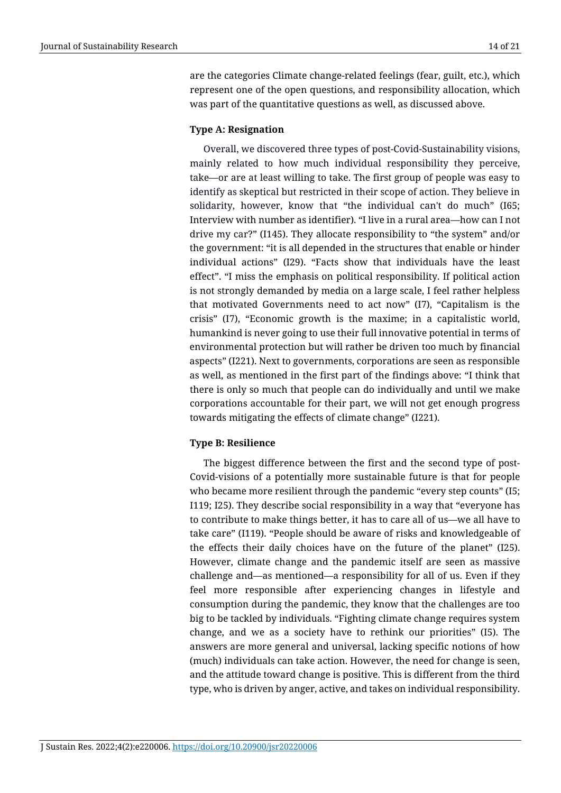are the categories Climate change-related feelings (fear, guilt, etc.), which represent one of the open questions, and responsibility allocation, which was part of the quantitative questions as well, as discussed above.

## **Type A: Resignation**

Overall, we discovered three types of post-Covid-Sustainability visions, mainly related to how much individual responsibility they perceive, take—or are at least willing to take. The first group of people was easy to identify as skeptical but restricted in their scope of action. They believe in solidarity, however, know that "the individual can't do much" (I65; Interview with number as identifier). "I live in a rural area—how can I not drive my car?" (I145). They allocate responsibility to "the system" and/or the government: "it is all depended in the structures that enable or hinder individual actions" (I29). "Facts show that individuals have the least effect". "I miss the emphasis on political responsibility. If political action is not strongly demanded by media on a large scale, I feel rather helpless that motivated Governments need to act now" (I7), "Capitalism is the crisis" (I7), "Economic growth is the maxime; in a capitalistic world, humankind is never going to use their full innovative potential in terms of environmental protection but will rather be driven too much by financial aspects" (I221). Next to governments, corporations are seen as responsible as well, as mentioned in the first part of the findings above: "I think that there is only so much that people can do individually and until we make corporations accountable for their part, we will not get enough progress towards mitigating the effects of climate change" (I221).

## **Type B: Resilience**

The biggest difference between the first and the second type of post-Covid-visions of a potentially more sustainable future is that for people who became more resilient through the pandemic "every step counts" (I5; I119; I25). They describe social responsibility in a way that "everyone has to contribute to make things better, it has to care all of us—we all have to take care" (I119). "People should be aware of risks and knowledgeable of the effects their daily choices have on the future of the planet" (I25). However, climate change and the pandemic itself are seen as massive challenge and—as mentioned—a responsibility for all of us. Even if they feel more responsible after experiencing changes in lifestyle and consumption during the pandemic, they know that the challenges are too big to be tackled by individuals. "Fighting climate change requires system change, and we as a society have to rethink our priorities" (I5). The answers are more general and universal, lacking specific notions of how (much) individuals can take action. However, the need for change is seen, and the attitude toward change is positive. This is different from the third type, who is driven by anger, active, and takes on individual responsibility.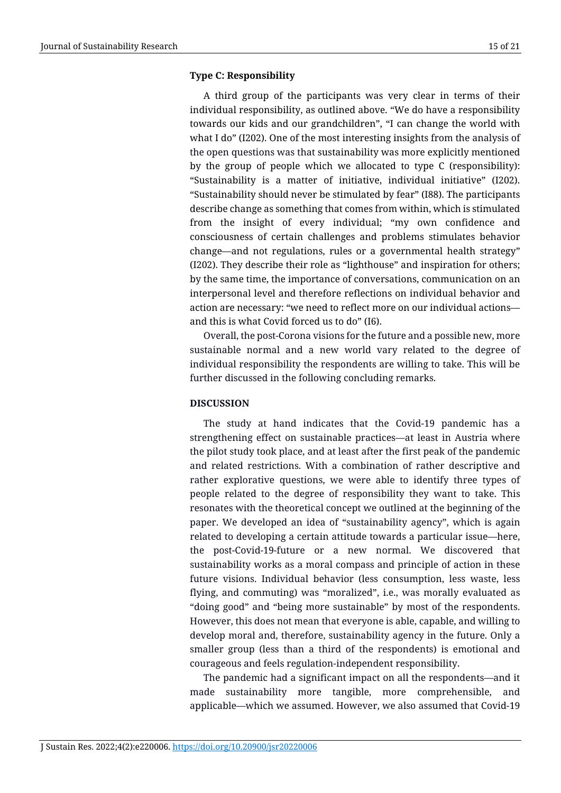## **Type C: Responsibility**

A third group of the participants was very clear in terms of their individual responsibility, as outlined above. "We do have a responsibility towards our kids and our grandchildren", "I can change the world with what I do" (I202). One of the most interesting insights from the analysis of the open questions was that sustainability was more explicitly mentioned by the group of people which we allocated to type C (responsibility): "Sustainability is a matter of initiative, individual initiative" (I202). "Sustainability should never be stimulated by fear" (I88). The participants describe change as something that comes from within, which is stimulated from the insight of every individual; "my own confidence and consciousness of certain challenges and problems stimulates behavior change—and not regulations, rules or a governmental health strategy" (I202). They describe their role as "lighthouse" and inspiration for others; by the same time, the importance of conversations, communication on an interpersonal level and therefore reflections on individual behavior and action are necessary: "we need to reflect more on our individual actions and this is what Covid forced us to do" (I6).

Overall, the post-Corona visions for the future and a possible new, more sustainable normal and a new world vary related to the degree of individual responsibility the respondents are willing to take. This will be further discussed in the following concluding remarks.

#### **DISCUSSION**

The study at hand indicates that the Covid-19 pandemic has a strengthening effect on sustainable practices—at least in Austria where the pilot study took place, and at least after the first peak of the pandemic and related restrictions. With a combination of rather descriptive and rather explorative questions, we were able to identify three types of people related to the degree of responsibility they want to take. This resonates with the theoretical concept we outlined at the beginning of the paper. We developed an idea of "sustainability agency", which is again related to developing a certain attitude towards a particular issue—here, the post-Covid-19-future or a new normal. We discovered that sustainability works as a moral compass and principle of action in these future visions. Individual behavior (less consumption, less waste, less flying, and commuting) was "moralized", i.e., was morally evaluated as "doing good" and "being more sustainable" by most of the respondents. However, this does not mean that everyone is able, capable, and willing to develop moral and, therefore, sustainability agency in the future. Only a smaller group (less than a third of the respondents) is emotional and courageous and feels regulation-independent responsibility.

The pandemic had a significant impact on all the respondents—and it made sustainability more tangible, more comprehensible, and applicable—which we assumed. However, we also assumed that Covid-19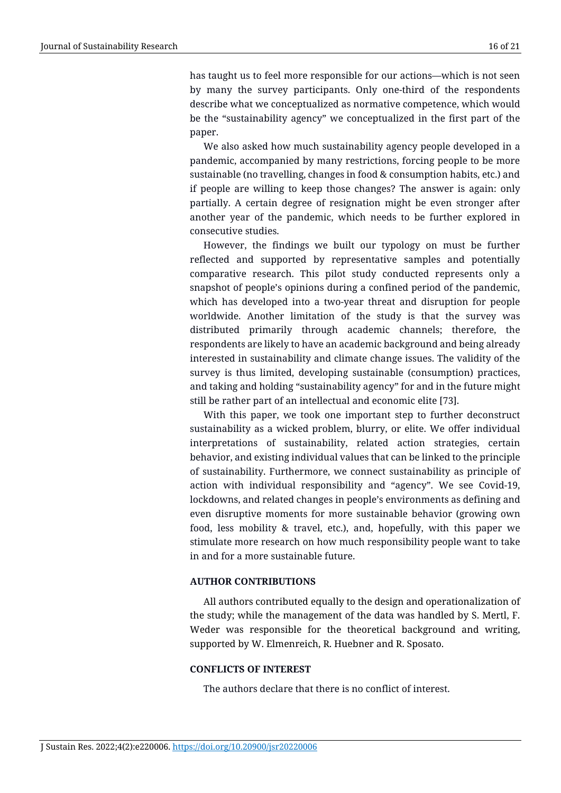has taught us to feel more responsible for our actions—which is not seen by many the survey participants. Only one-third of the respondents describe what we conceptualized as normative competence, which would be the "sustainability agency" we conceptualized in the first part of the paper.

We also asked how much sustainability agency people developed in a pandemic, accompanied by many restrictions, forcing people to be more sustainable (no travelling, changes in food & consumption habits, etc.) and if people are willing to keep those changes? The answer is again: only partially. A certain degree of resignation might be even stronger after another year of the pandemic, which needs to be further explored in consecutive studies.

However, the findings we built our typology on must be further reflected and supported by representative samples and potentially comparative research. This pilot study conducted represents only a snapshot of people's opinions during a confined period of the pandemic, which has developed into a two-year threat and disruption for people worldwide. Another limitation of the study is that the survey was distributed primarily through academic channels; therefore, the respondents are likely to have an academic background and being already interested in sustainability and climate change issues. The validity of the survey is thus limited, developing sustainable (consumption) practices, and taking and holding "sustainability agency" for and in the future might still be rather part of an intellectual and economic elite [73].

With this paper, we took one important step to further deconstruct sustainability as a wicked problem, blurry, or elite. We offer individual interpretations of sustainability, related action strategies, certain behavior, and existing individual values that can be linked to the principle of sustainability. Furthermore, we connect sustainability as principle of action with individual responsibility and "agency". We see Covid-19, lockdowns, and related changes in people's environments as defining and even disruptive moments for more sustainable behavior (growing own food, less mobility & travel, etc.), and, hopefully, with this paper we stimulate more research on how much responsibility people want to take in and for a more sustainable future.

#### **AUTHOR CONTRIBUTIONS**

All authors contributed equally to the design and operationalization of the study; while the management of the data was handled by S. Mertl, F. Weder was responsible for the theoretical background and writing, supported by W. Elmenreich, R. Huebner and R. Sposato.

## **CONFLICTS OF INTEREST**

The authors declare that there is no conflict of interest.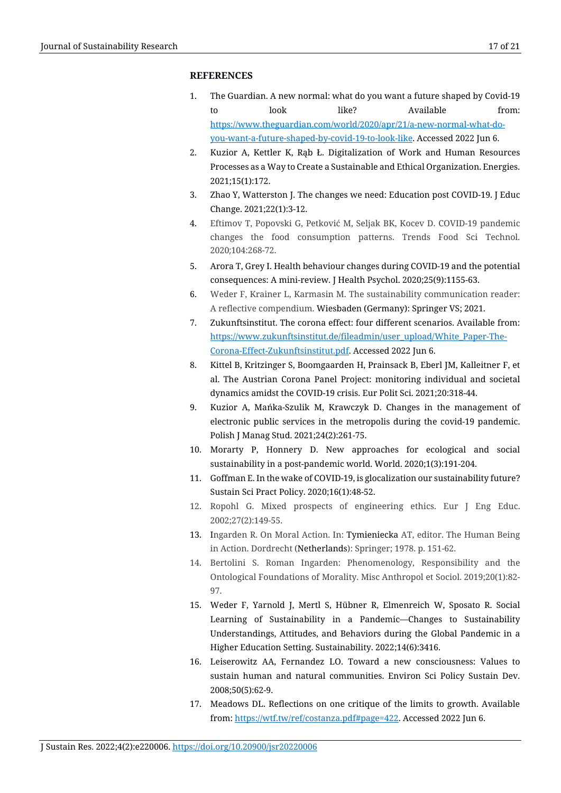#### **REFERENCES**

- 1. The Guardian. A new normal: what do you want a future shaped by Covid-19 to look like? Available from: [https://www.theguardian.com/world/2020/apr/21/a-new-normal-what-do](https://www.theguardian.com/world/2020/apr/21/a-new-normal-what-do-you-want-a-future-shaped-by-covid-19-to-look-like)[you-want-a-future-shaped-by-covid-19-to-look-like.](https://www.theguardian.com/world/2020/apr/21/a-new-normal-what-do-you-want-a-future-shaped-by-covid-19-to-look-like) Accessed 2022 Jun 6.
- 2. Kuzior A, Kettler K, Rąb Ł. Digitalization of Work and Human Resources Processes as a Way to Create a Sustainable and Ethical Organization. Energies. 2021;15(1):172.
- 3. Zhao Y, Watterston J. The changes we need: Education post COVID-19. J Educ Change. 2021;22(1):3-12.
- 4. Eftimov T, Popovski G, Petković M, Seljak BK, Kocev D. COVID-19 pandemic changes the food consumption patterns. Trends Food Sci Technol. 2020;104:268-72.
- 5. Arora T, Grey I. Health behaviour changes during COVID-19 and the potential consequences: A mini-review. J Health Psychol. 2020;25(9):1155-63.
- 6. Weder F, Krainer L, Karmasin M. The sustainability communication reader: A reflective compendium. Wiesbaden (Germany): Springer VS; 2021.
- 7. Zukunftsinstitut. The corona effect: four different scenarios. Available from: [https://www.zukunftsinstitut.de/fileadmin/user\\_upload/White\\_Paper-The-](https://www.zukunftsinstitut.de/fileadmin/user_upload/White_Paper-The-Corona-Effect-Zukunftsinstitut.pdf)[Corona-Effect-Zukunftsinstitut.pdf.](https://www.zukunftsinstitut.de/fileadmin/user_upload/White_Paper-The-Corona-Effect-Zukunftsinstitut.pdf) Accessed 2022 Jun 6.
- 8. Kittel B, Kritzinger S, Boomgaarden H, [Prainsack](https://link.springer.com/article/10.1057/s41304-020-00294-7%23auth-Barbara-Prainsack) B, [Eberl](https://link.springer.com/article/10.1057/s41304-020-00294-7%23auth-Jakob_Moritz-Eberl) JM, Kalleitner F, et al. The Austrian Corona Panel Project: monitoring individual and societal dynamics amidst the COVID-19 crisis. Eur Polit Sci. 2021;20:318-44.
- 9. Kuzior A, Mańka-Szulik M, Krawczyk D. Changes in the management of electronic public services in the metropolis during the covid-19 pandemic. Polish J Manag Stud. 2021;24(2):261-75.
- 10. Morarty P, Honnery D. New approaches for ecological and social sustainability in a post-pandemic world. World. 2020;1(3):191-204.
- 11. Goffman E. In the wake of COVID-19, is glocalization our sustainability future? Sustain Sci Pract Policy. 2020;16(1):48-52.
- 12. Ropohl G. Mixed prospects of engineering ethics. Eur J Eng Educ. 2002;27(2):149-55.
- 13. Ingarden R. On Moral Action. In: Tymieniecka AT, editor. The Human Being in Action. Dordrecht (Netherlands): Springer; 1978. p. 151-62.
- 14. Bertolini S. Roman Ingarden: Phenomenology, Responsibility and the Ontological Foundations of Morality. Misc Anthropol et Sociol. 2019;20(1):82- 97.
- 15. Weder F, Yarnold J, Mertl S, Hübner R, Elmenreich W, Sposato R. Social Learning of Sustainability in a Pandemic—Changes to Sustainability Understandings, Attitudes, and Behaviors during the Global Pandemic in a Higher Education Setting. Sustainability. 2022;14(6):3416.
- 16. Leiserowitz AA, Fernandez LO. Toward a new consciousness: Values to sustain human and natural communities. Environ Sci Policy Sustain Dev. 2008;50(5):62-9.
- 17. Meadows DL. Reflections on one critique of the limits to growth. Available from[: https://wtf.tw/ref/costanza.pdf#page=422.](https://wtf.tw/ref/costanza.pdf%23page=422) Accessed 2022 Jun 6.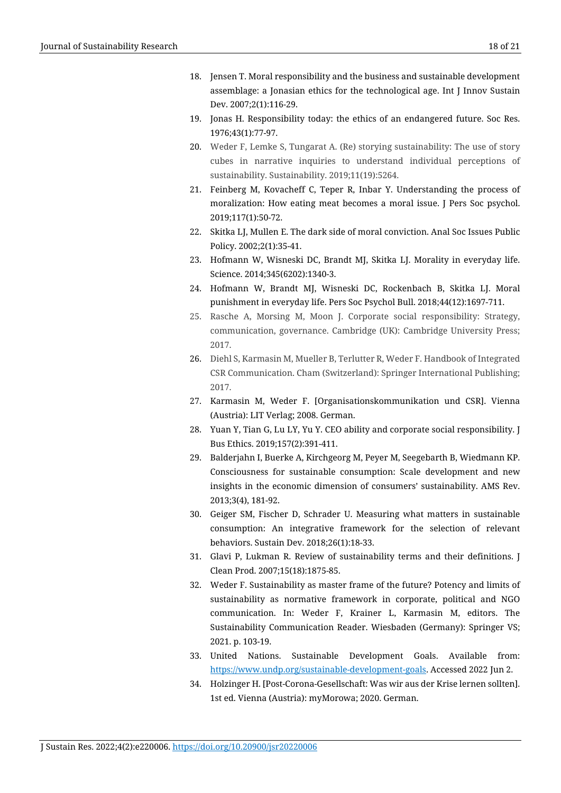- 18. Jensen T. Moral responsibility and the business and sustainable development assemblage: a Jonasian ethics for the technological age. Int J Innov Sustain Dev. 2007;2(1):116-29.
- 19. Jonas H. Responsibility today: the ethics of an endangered future. Soc Res. 1976;43(1):77-97.
- 20. Weder F, Lemke S, Tungarat A. (Re) storying sustainability: The use of story cubes in narrative inquiries to understand individual perceptions of sustainability. Sustainability. 2019;11(19):5264.
- 21. Feinberg M, Kovacheff C, Teper R, Inbar Y. Understanding the process of moralization: How eating meat becomes a moral issue. J Pers Soc psychol. 2019;117(1):50-72.
- 22. Skitka LJ, Mullen E. The dark side of moral conviction. Anal Soc Issues Public Policy. 2002;2(1):35-41.
- 23. Hofmann W, Wisneski DC, Brandt MJ, Skitka LJ. Morality in everyday life. Science. 2014;345(6202):1340-3.
- 24. Hofmann W, Brandt MJ, Wisneski DC, Rockenbach B, Skitka LJ. Moral punishment in everyday life. Pers Soc Psychol Bull. 2018;44(12):1697-711.
- 25. Rasche A, Morsing M, Moon J. Corporate social responsibility: Strategy, communication, governance. Cambridge (UK): Cambridge University Press; 2017.
- 26. Diehl S, Karmasin M, Mueller B, Terlutter R, Weder F. Handbook of Integrated CSR Communication. Cham (Switzerland): Springer International Publishing; 2017.
- 27. Karmasin M, Weder F. [Organisationskommunikation und CSR]. Vienna (Austria): LIT Verlag; 2008. German.
- 28. Yuan Y, Tian G, Lu LY, Yu Y. CEO ability and corporate social responsibility. J Bus Ethics. 2019;157(2):391-411.
- 29. Balderjahn I, Buerke A, Kirchgeorg M, Peyer M, Seegebarth B, Wiedmann KP. Consciousness for sustainable consumption: Scale development and new insights in the economic dimension of consumers' sustainability. AMS Rev. 2013;3(4), 181-92.
- 30. Geiger SM, Fischer D, Schrader U. Measuring what matters in sustainable consumption: An integrative framework for the selection of relevant behaviors. Sustain Dev. 2018;26(1):18-33.
- 31. Glavi P, Lukman R. Review of sustainability terms and their definitions. J Clean Prod. 2007;15(18):1875-85.
- 32. Weder F. Sustainability as master frame of the future? Potency and limits of sustainability as normative framework in corporate, political and NGO communication. In: Weder F, Krainer L, Karmasin M, editors. The Sustainability Communication Reader. Wiesbaden (Germany): Springer VS; 2021. p. 103-19.
- 33. United Nations. Sustainable Development Goals. [Available](http://www.undp.org/) from: [https://www.undp.org/sustainable-development-goals.](https://www.undp.org/sustainable-development-goals) Accessed 2022 Jun 2.
- 34. Holzinger H. [Post-Corona-Gesellschaft: Was wir aus der Krise lernen sollten]. 1st ed. Vienna (Austria): myMorowa; 2020. German.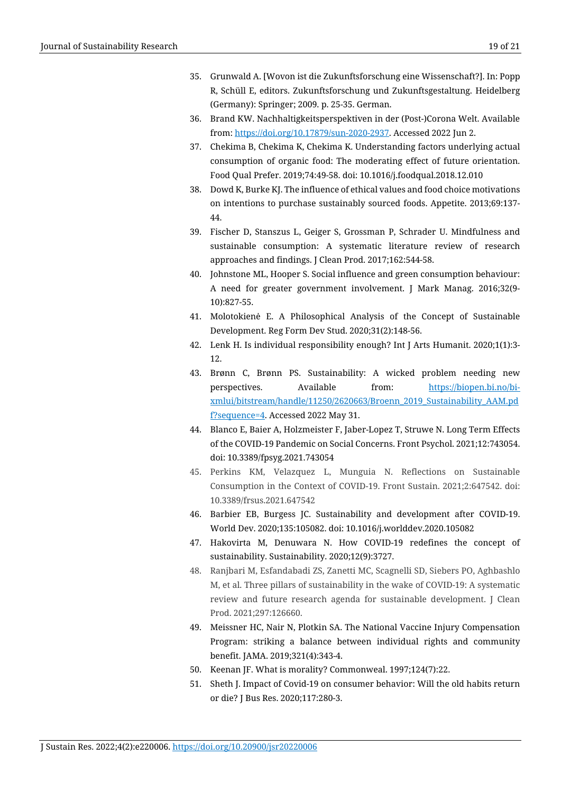- 35. Grunwald A. [Wovon ist die Zukunftsforschung eine Wissenschaft?]. In: Popp R, Schüll E, editors. Zukunftsforschung und Zukunftsgestaltung. Heidelberg (Germany): Springer; 2009. p. 25-35. German.
- 36. Brand KW. Nachhaltigkeitsperspektiven in der (Post-)Corona Welt. [A](https://doi.org/10.17879/sun-2020-2937)vailable from[: https://doi.org/10.17879/sun-2020-2937.](https://doi.org/10.17879/sun-2020-2937) Accessed 2022 Jun 2.
- 37. Chekima B, Chekima K, Chekima K. Understanding factors underlying actual consumption of organic food: The moderating effect of future orientation. Food Qual Prefer. 2019;74:49-58. doi: 10.1016/j.foodqual.2018.12.010
- 38. Dowd K, Burke KJ. The influence of ethical values and food choice motivations on intentions to purchase sustainably sourced foods. Appetite. 2013;69:137- 44.
- 39. Fischer D, Stanszus L, Geiger S, Grossman P, Schrader U. Mindfulness and sustainable consumption: A systematic literature review of research approaches and findings. J Clean Prod. 2017;162:544-58.
- 40. Johnstone ML, Hooper S. Social influence and green consumption behaviour: A need for greater government involvement. J Mark Manag. 2016;32(9- 10):827-55.
- 41. Molotokienė E. A Philosophical Analysis of the Concept of Sustainable Development. Reg Form Dev Stud. 2020;31(2):148-56.
- 42. Lenk H. Is individual responsibility enough? Int J Arts Humanit. 2020;1(1):3- 12.
- 43. Brønn C, Brønn PS. Sustainability: A wicked problem needing new perspectives. Available from: [https://biopen.bi.no/bi](https://biopen.bi.no/bi-xmlui/bitstream/handle/11250/2620663/Broenn_2019_Sustainability_AAM.pdf?sequence=4)[xmlui/bitstream/handle/11250/2620663/Broenn\\_2019\\_Sustainability\\_AAM.pd](https://biopen.bi.no/bi-xmlui/bitstream/handle/11250/2620663/Broenn_2019_Sustainability_AAM.pdf?sequence=4) [f?sequence=4.](https://biopen.bi.no/bi-xmlui/bitstream/handle/11250/2620663/Broenn_2019_Sustainability_AAM.pdf?sequence=4) Accessed 2022 May 31.
- 44. Blanco E, Baier A, Holzmeister F, Jaber-Lopez T, Struwe N. Long Term Effects of the COVID-19 Pandemic on Social Concerns. Front Psychol. 2021;12:743054. doi: 10.3389/fpsyg.2021.743054
- 45. Perkins KM, Velazquez L, Munguia N. Reflections on Sustainable Consumption in the Context of COVID-19. Front Sustain. 2021;2:647542. doi: 10.3389/frsus.2021.647542
- 46. Barbier EB, Burgess JC. Sustainability and development after COVID-19. World Dev. 2020;135:105082. doi[: 10.1016/j.worlddev.2020.105082](https://doi.org/10.1016/j.worlddev.2020.105082)
- 47. Hakovirta M, Denuwara N. How COVID-19 redefines the concept of sustainability. Sustainability. 2020;12(9):3727.
- 48. Ranjbari M, Esfandabadi ZS, Zanetti MC, Scagnelli SD, Siebers PO, Aghbashlo M, et al. Three pillars of sustainability in the wake of COVID-19: A systematic review and future research agenda for sustainable development. J Clean Prod. 2021;297:126660.
- 49. Meissner HC, Nair N, Plotkin SA. The National Vaccine Injury Compensation Program: striking a balance between individual rights and community benefit. JAMA. 2019;321(4):343-4.
- 50. Keenan JF. What is morality? Commonweal. 1997;124(7):22.
- 51. Sheth J. Impact of Covid-19 on consumer behavior: Will the old habits return or die? J Bus Res. 2020;117:280-3.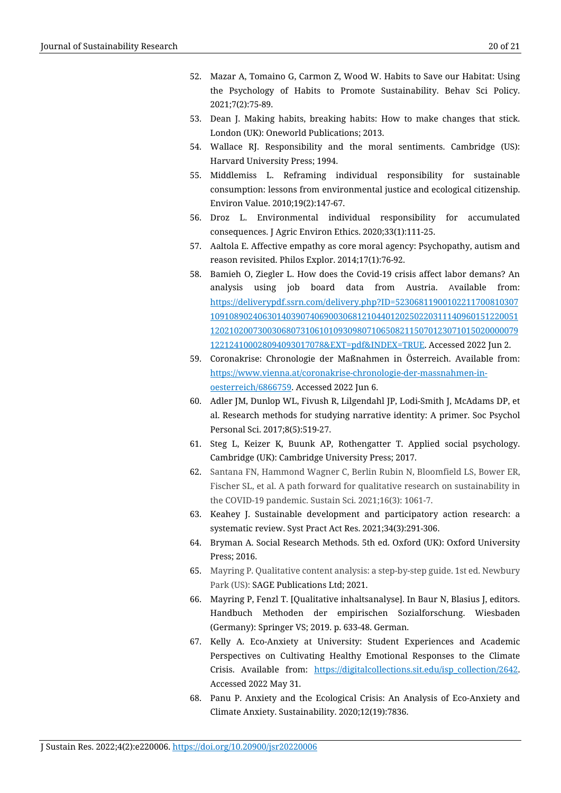- 52. Mazar A, Tomaino G, Carmon Z, Wood W. Habits to Save our Habitat: Using the Psychology of Habits to Promote Sustainability. Behav Sci Policy. 2021;7(2):75-89.
- 53. Dean J. Making habits, breaking habits: How to make changes that stick. London (UK): Oneworld Publications; 2013.
- 54. Wallace RJ. Responsibility and the moral sentiments. Cambridge (US): Harvard University Press; 1994.
- 55. Middlemiss L. Reframing individual responsibility for sustainable consumption: lessons from environmental justice and ecological citizenship. Environ Value. 2010;19(2):147-67.
- 56. Droz L. Environmental individual responsibility for accumulated consequences. J Agric Environ Ethics. 2020;33(1):111-25.
- 57. Aaltola E. Affective empathy as core moral agency: Psychopathy, autism and reason revisited. Philos Explor. 2014;17(1):76-92.
- 58. Bamieh O, Ziegler L. How does the Covid-19 crisis affect labor demans? An analysis using job board data from Austria. Available from: [https://deliverypdf.ssrn.com/delivery.php?ID=52306811900102211700810307](https://deliverypdf.ssrn.com/delivery.php?ID=523068119001022117008103071091089024063014039074069003068121044012025022031114096015122005112021020073003068073106101093098071065082115070123071015020000079122124100028094093017078&EXT=pdf&INDEX=TRUE) [10910890240630140390740690030681210440120250220311140960151220051](https://deliverypdf.ssrn.com/delivery.php?ID=523068119001022117008103071091089024063014039074069003068121044012025022031114096015122005112021020073003068073106101093098071065082115070123071015020000079122124100028094093017078&EXT=pdf&INDEX=TRUE) [12021020073003068073106101093098071065082115070123071015020000079](https://deliverypdf.ssrn.com/delivery.php?ID=523068119001022117008103071091089024063014039074069003068121044012025022031114096015122005112021020073003068073106101093098071065082115070123071015020000079122124100028094093017078&EXT=pdf&INDEX=TRUE) [122124100028094093017078&EXT=pdf&INDEX=TRUE.](https://deliverypdf.ssrn.com/delivery.php?ID=523068119001022117008103071091089024063014039074069003068121044012025022031114096015122005112021020073003068073106101093098071065082115070123071015020000079122124100028094093017078&EXT=pdf&INDEX=TRUE) Accessed 2022 Jun 2.
- 59. Coronakrise: Chronologie der Maßnahmen in Österreich. Available from: [https://www.vienna.at/coronakrise-chronologie-der-massnahmen-in](https://www.vienna.at/coronakrise-chronologie-der-massnahmen-in-oesterreich/6866759)[oesterreich/6866759.](https://www.vienna.at/coronakrise-chronologie-der-massnahmen-in-oesterreich/6866759) Accessed 2022 Jun 6.
- 60. Adler JM, Dunlop WL, Fivush R, Lilgendahl JP, Lodi-Smith J, McAdams DP, et al. Research methods for studying narrative identity: A primer. Soc Psychol Personal Sci. 2017;8(5):519-27.
- 61. Steg L, Keizer K, Buunk AP, Rothengatter T. Applied social psychology. Cambridge (UK): Cambridge University Press; 2017.
- 62. Santana FN, Hammond Wagner C, Berlin Rubin N, Bloomfield LS, Bower ER, Fischer SL, et al. A path forward for qualitative research on sustainability in the COVID-19 pandemic. Sustain Sci. 2021;16(3): 1061-7.
- 63. Keahey J. Sustainable development and participatory action research: a systematic review. Syst Pract Act Res. 2021;34(3):291-306.
- 64. Bryman A. Social Research Methods. 5th ed. Oxford (UK): Oxford University Press; 2016.
- 65. Mayring P. Qualitative content analysis: a step-by-step guide. 1st ed. Newbury Park (US): SAGE Publications Ltd; 2021.
- 66. Mayring P, Fenzl T. [Qualitative inhaltsanalyse]. In Baur N, Blasius J, editors. Handbuch Methoden der empirischen Sozialforschung. Wiesbaden (Germany): Springer VS; 2019. p. 633-48. German.
- 67. Kelly A. Eco-Anxiety at University: Student Experiences and Academic Perspectives on Cultivating Healthy Emotional Responses to the Climate Crisis. Available from: [https://digitalcollections.sit.edu/isp\\_collection/2642.](https://digitalcollections.sit.edu/isp_collection/2642) Accessed 2022 May 31.
- 68. Panu P. Anxiety and the Ecological Crisis: An Analysis of Eco-Anxiety and Climate Anxiety. Sustainability. 2020;12(19):7836.